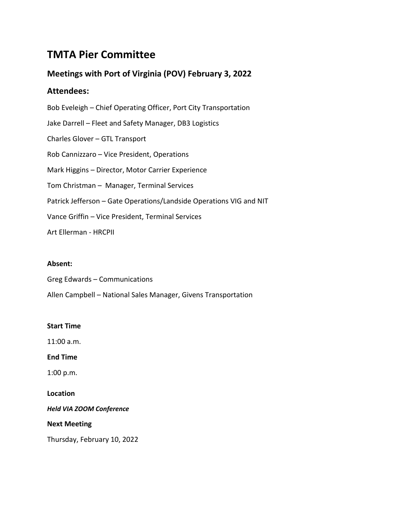# **TMTA Pier Committee**

# **Meetings with Port of Virginia (POV) February 3, 2022**

# **Attendees:**

Bob Eveleigh – Chief Operating Officer, Port City Transportation Jake Darrell – Fleet and Safety Manager, DB3 Logistics Charles Glover – GTL Transport Rob Cannizzaro – Vice President, Operations Mark Higgins – Director, Motor Carrier Experience Tom Christman – Manager, Terminal Services Patrick Jefferson – Gate Operations/Landside Operations VIG and NIT Vance Griffin – Vice President, Terminal Services Art Ellerman - HRCPII

### **Absent:**

Greg Edwards – Communications

Allen Campbell – National Sales Manager, Givens Transportation

#### **Start Time**

11:00 a.m.

**End Time**

1:00 p.m.

**Location**

*Held VIA ZOOM Conference*

**Next Meeting**

Thursday, February 10, 2022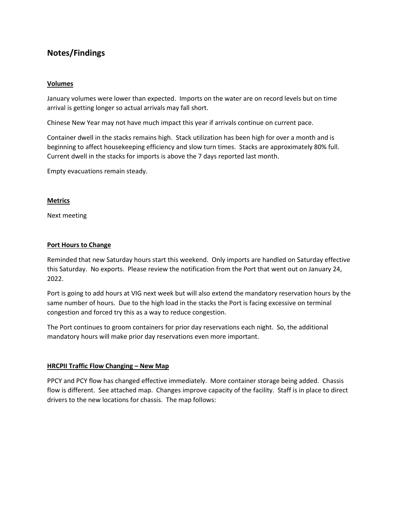# **Notes/Findings**

#### **Volumes**

January volumes were lower than expected. Imports on the water are on record levels but on time arrival is getting longer so actual arrivals may fall short.

Chinese New Year may not have much impact this year if arrivals continue on current pace.

Container dwell in the stacks remains high. Stack utilization has been high for over a month and is beginning to affect housekeeping efficiency and slow turn times. Stacks are approximately 80% full. Current dwell in the stacks for imports is above the 7 days reported last month.

Empty evacuations remain steady.

#### **Metrics**

Next meeting

#### **Port Hours to Change**

Reminded that new Saturday hours start this weekend. Only imports are handled on Saturday effective this Saturday. No exports. Please review the notification from the Port that went out on January 24, 2022.

Port is going to add hours at VIG next week but will also extend the mandatory reservation hours by the same number of hours. Due to the high load in the stacks the Port is facing excessive on terminal congestion and forced try this as a way to reduce congestion.

The Port continues to groom containers for prior day reservations each night. So, the additional mandatory hours will make prior day reservations even more important.

#### **HRCPII Traffic Flow Changing – New Map**

PPCY and PCY flow has changed effective immediately. More container storage being added. Chassis flow is different. See attached map. Changes improve capacity of the facility. Staff is in place to direct drivers to the new locations for chassis. The map follows: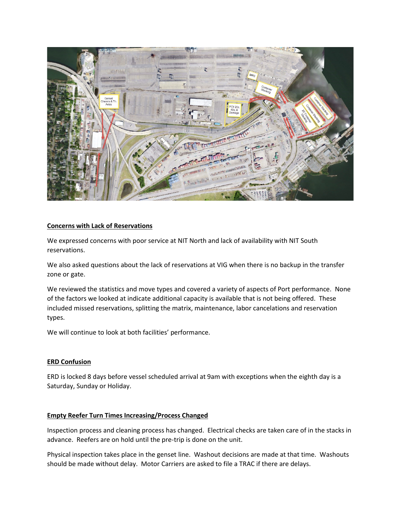

#### **Concerns with Lack of Reservations**

We expressed concerns with poor service at NIT North and lack of availability with NIT South reservations.

We also asked questions about the lack of reservations at VIG when there is no backup in the transfer zone or gate.

We reviewed the statistics and move types and covered a variety of aspects of Port performance. None of the factors we looked at indicate additional capacity is available that is not being offered. These included missed reservations, splitting the matrix, maintenance, labor cancelations and reservation types.

We will continue to look at both facilities' performance.

#### **ERD Confusion**

ERD is locked 8 days before vessel scheduled arrival at 9am with exceptions when the eighth day is a Saturday, Sunday or Holiday.

#### **Empty Reefer Turn Times Increasing/Process Changed**

Inspection process and cleaning process has changed. Electrical checks are taken care of in the stacks in advance. Reefers are on hold until the pre-trip is done on the unit.

Physical inspection takes place in the genset line. Washout decisions are made at that time. Washouts should be made without delay. Motor Carriers are asked to file a TRAC if there are delays.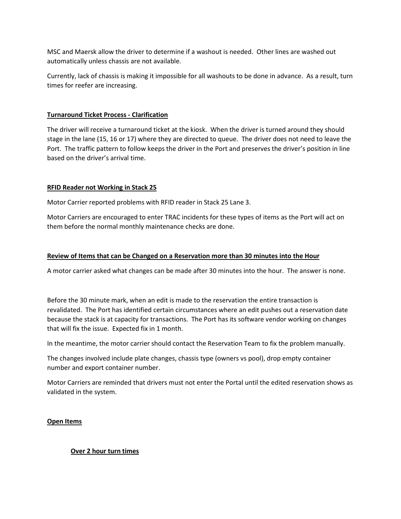MSC and Maersk allow the driver to determine if a washout is needed. Other lines are washed out automatically unless chassis are not available.

Currently, lack of chassis is making it impossible for all washouts to be done in advance. As a result, turn times for reefer are increasing.

#### **Turnaround Ticket Process - Clarification**

The driver will receive a turnaround ticket at the kiosk. When the driver is turned around they should stage in the lane (15, 16 or 17) where they are directed to queue. The driver does not need to leave the Port. The traffic pattern to follow keeps the driver in the Port and preserves the driver's position in line based on the driver's arrival time.

#### **RFID Reader not Working in Stack 25**

Motor Carrier reported problems with RFID reader in Stack 25 Lane 3.

Motor Carriers are encouraged to enter TRAC incidents for these types of items as the Port will act on them before the normal monthly maintenance checks are done.

#### **Review of Items that can be Changed on a Reservation more than 30 minutes into the Hour**

A motor carrier asked what changes can be made after 30 minutes into the hour. The answer is none.

Before the 30 minute mark, when an edit is made to the reservation the entire transaction is revalidated. The Port has identified certain circumstances where an edit pushes out a reservation date because the stack is at capacity for transactions. The Port has its software vendor working on changes that will fix the issue. Expected fix in 1 month.

In the meantime, the motor carrier should contact the Reservation Team to fix the problem manually.

The changes involved include plate changes, chassis type (owners vs pool), drop empty container number and export container number.

Motor Carriers are reminded that drivers must not enter the Portal until the edited reservation shows as validated in the system.

#### **Open Items**

#### **Over 2 hour turn times**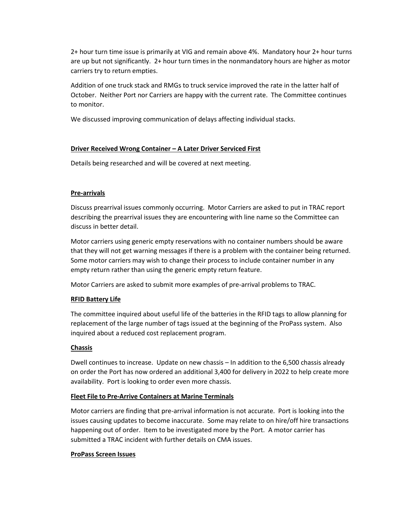2+ hour turn time issue is primarily at VIG and remain above 4%. Mandatory hour 2+ hour turns are up but not significantly. 2+ hour turn times in the nonmandatory hours are higher as motor carriers try to return empties.

Addition of one truck stack and RMGs to truck service improved the rate in the latter half of October. Neither Port nor Carriers are happy with the current rate. The Committee continues to monitor.

We discussed improving communication of delays affecting individual stacks.

#### **Driver Received Wrong Container – A Later Driver Serviced First**

Details being researched and will be covered at next meeting.

#### **Pre-arrivals**

Discuss prearrival issues commonly occurring. Motor Carriers are asked to put in TRAC report describing the prearrival issues they are encountering with line name so the Committee can discuss in better detail.

Motor carriers using generic empty reservations with no container numbers should be aware that they will not get warning messages if there is a problem with the container being returned. Some motor carriers may wish to change their process to include container number in any empty return rather than using the generic empty return feature.

Motor Carriers are asked to submit more examples of pre-arrival problems to TRAC.

#### **RFID Battery Life**

The committee inquired about useful life of the batteries in the RFID tags to allow planning for replacement of the large number of tags issued at the beginning of the ProPass system. Also inquired about a reduced cost replacement program.

#### **Chassis**

Dwell continues to increase. Update on new chassis – In addition to the 6,500 chassis already on order the Port has now ordered an additional 3,400 for delivery in 2022 to help create more availability. Port is looking to order even more chassis.

#### **Fleet File to Pre-Arrive Containers at Marine Terminals**

Motor carriers are finding that pre-arrival information is not accurate. Port is looking into the issues causing updates to become inaccurate. Some may relate to on hire/off hire transactions happening out of order. Item to be investigated more by the Port. A motor carrier has submitted a TRAC incident with further details on CMA issues.

#### **ProPass Screen Issues**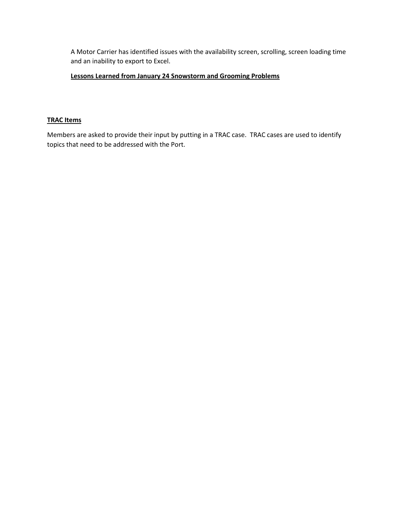A Motor Carrier has identified issues with the availability screen, scrolling, screen loading time and an inability to export to Excel.

#### **Lessons Learned from January 24 Snowstorm and Grooming Problems**

#### **TRAC Items**

Members are asked to provide their input by putting in a TRAC case. TRAC cases are used to identify topics that need to be addressed with the Port.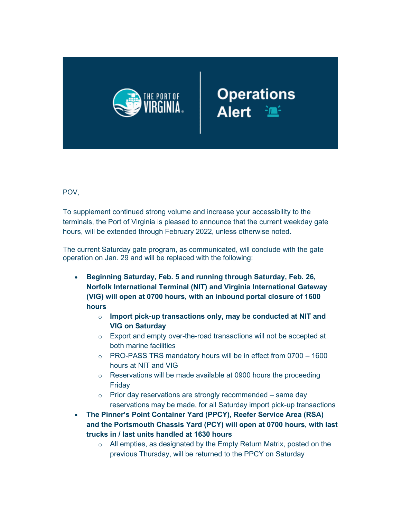

# Operations<br>Alert <sup>2</sup>

POV,

To supplement continued strong volume and increase your accessibility to the terminals, the Port of Virginia is pleased to announce that the current weekday gate hours, will be extended through February 2022, unless otherwise noted.

The current Saturday gate program, as communicated, will conclude with the gate operation on Jan. 29 and will be replaced with the following:

- **Beginning Saturday, Feb. 5 and running through Saturday, Feb. 26, Norfolk International Terminal (NIT) and Virginia International Gateway (VIG) will open at 0700 hours, with an inbound portal closure of 1600 hours**
	- o **Import pick-up transactions only, may be conducted at NIT and VIG on Saturday**
	- o Export and empty over-the-road transactions will not be accepted at both marine facilities
	- $\circ$  PRO-PASS TRS mandatory hours will be in effect from 0700 1600 hours at NIT and VIG
	- $\circ$  Reservations will be made available at 0900 hours the proceeding Friday
	- $\circ$  Prior day reservations are strongly recommended same day reservations may be made, for all Saturday import pick-up transactions
- **The Pinner's Point Container Yard (PPCY), Reefer Service Area (RSA) and the Portsmouth Chassis Yard (PCY) will open at 0700 hours, with last trucks in / last units handled at 1630 hours**
	- $\circ$  All empties, as designated by the Empty Return Matrix, posted on the previous Thursday, will be returned to the PPCY on Saturday